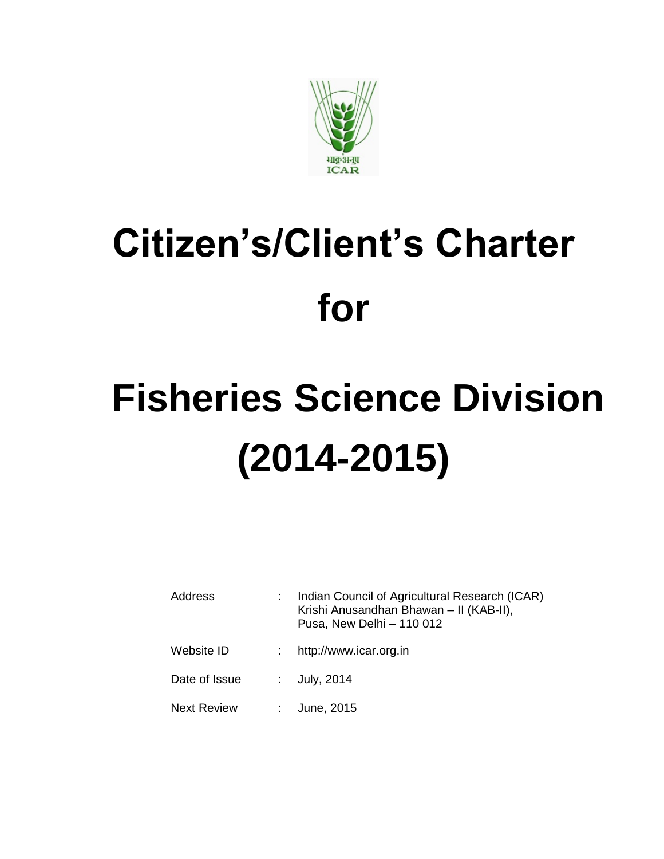

# **Citizen's/Client's Charter for**

# **Fisheries Science Division (2014-2015)**

| Address            | Indian Council of Agricultural Research (ICAR)<br>Krishi Anusandhan Bhawan - II (KAB-II),<br>Pusa, New Delhi - 110 012 |
|--------------------|------------------------------------------------------------------------------------------------------------------------|
| Website ID         | http://www.icar.org.in                                                                                                 |
| Date of Issue      | : $July, 2014$                                                                                                         |
| <b>Next Review</b> | June, 2015                                                                                                             |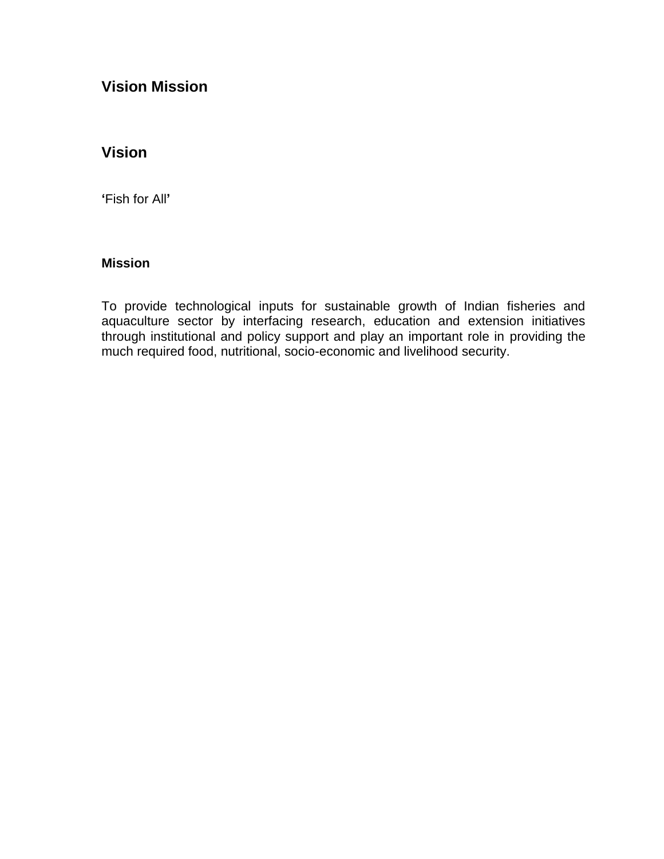#### **Vision Mission**

#### **Vision**

**'**Fish for All**'**

#### **Mission**

To provide technological inputs for sustainable growth of Indian fisheries and aquaculture sector by interfacing research, education and extension initiatives through institutional and policy support and play an important role in providing the much required food, nutritional, socio-economic and livelihood security.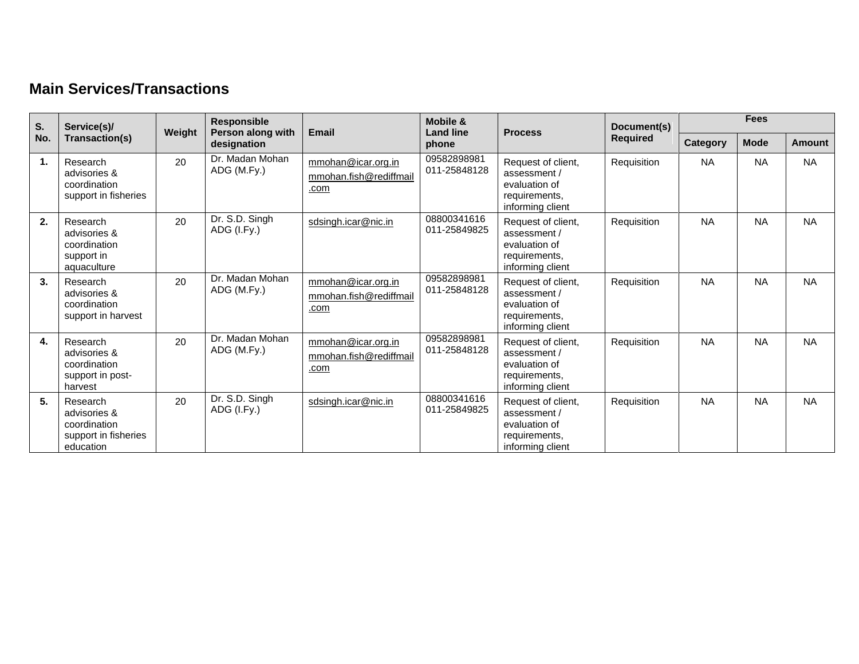### **Main Services/Transactions**

| S.  | Service(s)/                                                                   | Weight | <b>Responsible</b>               | <b>Email</b>                                         | Mobile &<br><b>Land line</b> | <b>Process</b>                                                                           | Document(s)     | <b>Fees</b>     |             |           |
|-----|-------------------------------------------------------------------------------|--------|----------------------------------|------------------------------------------------------|------------------------------|------------------------------------------------------------------------------------------|-----------------|-----------------|-------------|-----------|
| No. | Transaction(s)                                                                |        | Person along with<br>designation |                                                      | phone                        |                                                                                          | <b>Required</b> | <b>Category</b> | <b>Mode</b> | Amount    |
| 1.  | Research<br>advisories &<br>coordination<br>support in fisheries              | 20     | Dr. Madan Mohan<br>ADG (M.Fy.)   | mmohan@icar.org.in<br>mmohan.fish@rediffmail<br>.com | 09582898981<br>011-25848128  | Request of client,<br>assessment /<br>evaluation of<br>requirements,<br>informing client | Requisition     | <b>NA</b>       | <b>NA</b>   | <b>NA</b> |
| 2.  | Research<br>advisories &<br>coordination<br>support in<br>aquaculture         | 20     | Dr. S.D. Singh<br>ADG (I.Fy.)    | sdsingh.icar@nic.in                                  | 08800341616<br>011-25849825  | Request of client,<br>assessment /<br>evaluation of<br>requirements,<br>informing client | Requisition     | <b>NA</b>       | <b>NA</b>   | <b>NA</b> |
| 3.  | Research<br>advisories &<br>coordination<br>support in harvest                | 20     | Dr. Madan Mohan<br>ADG (M.Fy.)   | mmohan@icar.org.in<br>mmohan.fish@rediffmail<br>.com | 09582898981<br>011-25848128  | Request of client,<br>assessment /<br>evaluation of<br>requirements,<br>informing client | Requisition     | <b>NA</b>       | <b>NA</b>   | <b>NA</b> |
| 4.  | Research<br>advisories &<br>coordination<br>support in post-<br>harvest       | 20     | Dr. Madan Mohan<br>ADG (M.Fy.)   | mmohan@icar.org.in<br>mmohan.fish@rediffmail<br>.com | 09582898981<br>011-25848128  | Request of client,<br>assessment /<br>evaluation of<br>requirements,<br>informing client | Requisition     | <b>NA</b>       | <b>NA</b>   | <b>NA</b> |
| 5.  | Research<br>advisories &<br>coordination<br>support in fisheries<br>education | 20     | Dr. S.D. Singh<br>ADG (I.Fy.)    | sdsingh.icar@nic.in                                  | 08800341616<br>011-25849825  | Request of client,<br>assessment /<br>evaluation of<br>requirements,<br>informing client | Requisition     | <b>NA</b>       | <b>NA</b>   | <b>NA</b> |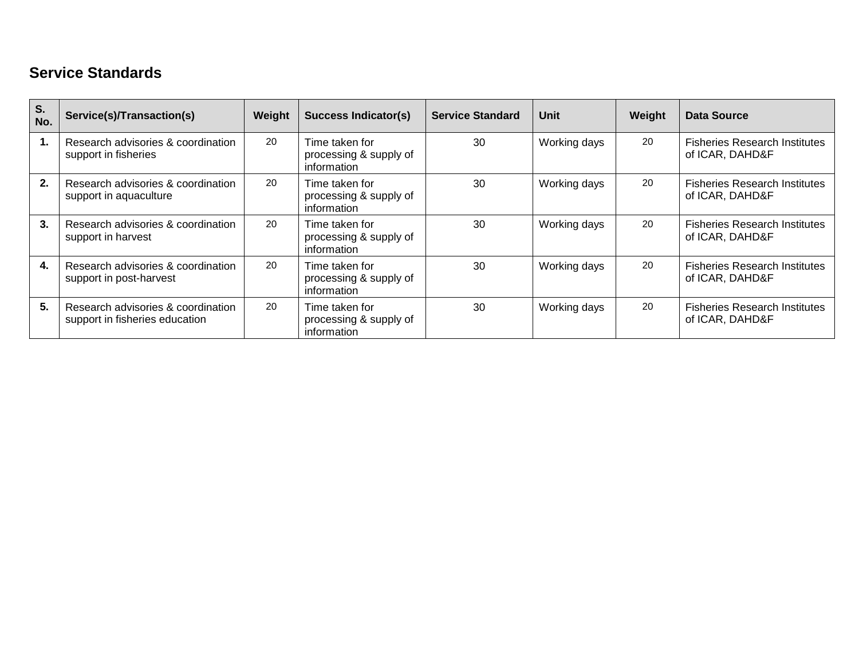### **Service Standards**

| S.<br>No. | Service(s)/Transaction(s)                                            | Weight | <b>Success Indicator(s)</b>                             | <b>Service Standard</b> | Unit         | Weight | Data Source                                             |
|-----------|----------------------------------------------------------------------|--------|---------------------------------------------------------|-------------------------|--------------|--------|---------------------------------------------------------|
|           | Research advisories & coordination<br>support in fisheries           | 20     | Time taken for<br>processing & supply of<br>information | 30                      | Working days | 20     | <b>Fisheries Research Institutes</b><br>of ICAR, DAHD&F |
| 2.        | Research advisories & coordination<br>support in aquaculture         | 20     | Time taken for<br>processing & supply of<br>information | 30                      | Working days | 20     | <b>Fisheries Research Institutes</b><br>of ICAR, DAHD&F |
| 3.        | Research advisories & coordination<br>support in harvest             | 20     | Time taken for<br>processing & supply of<br>information | 30                      | Working days | 20     | <b>Fisheries Research Institutes</b><br>of ICAR, DAHD&F |
| 4.        | Research advisories & coordination<br>support in post-harvest        | 20     | Time taken for<br>processing & supply of<br>information | 30                      | Working days | 20     | <b>Fisheries Research Institutes</b><br>of ICAR, DAHD&F |
| 5.        | Research advisories & coordination<br>support in fisheries education | 20     | Time taken for<br>processing & supply of<br>information | 30                      | Working days | 20     | <b>Fisheries Research Institutes</b><br>of ICAR, DAHD&F |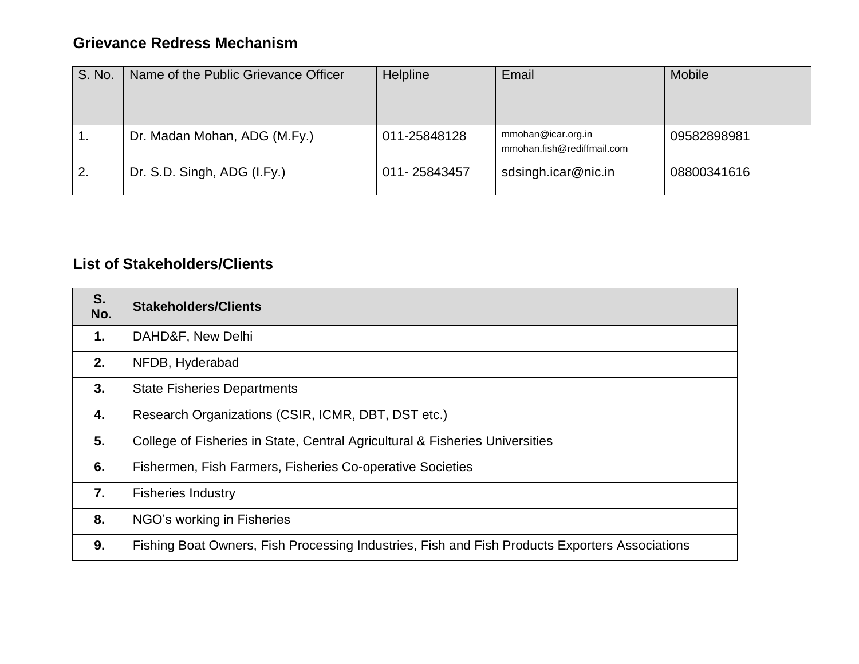#### **Grievance Redress Mechanism**

| S. No. | Name of the Public Grievance Officer | Helpline     | Email                                            | Mobile      |
|--------|--------------------------------------|--------------|--------------------------------------------------|-------------|
| . .    | Dr. Madan Mohan, ADG (M.Fy.)         | 011-25848128 | mmohan@icar.org.in<br>mmohan.fish@rediffmail.com | 09582898981 |
| 2.     | Dr. S.D. Singh, ADG (I.Fy.)          | 011-25843457 | sdsingh.icar@nic.in                              | 08800341616 |

### **List of Stakeholders/Clients**

| S.<br>No.     | <b>Stakeholders/Clients</b>                                                                    |
|---------------|------------------------------------------------------------------------------------------------|
| $\mathbf 1$ . | DAHD&F, New Delhi                                                                              |
| 2.            | NFDB, Hyderabad                                                                                |
| 3.            | <b>State Fisheries Departments</b>                                                             |
| 4.            | Research Organizations (CSIR, ICMR, DBT, DST etc.)                                             |
| 5.            | College of Fisheries in State, Central Agricultural & Fisheries Universities                   |
| 6.            | Fishermen, Fish Farmers, Fisheries Co-operative Societies                                      |
| 7.            | <b>Fisheries Industry</b>                                                                      |
| 8.            | NGO's working in Fisheries                                                                     |
| 9.            | Fishing Boat Owners, Fish Processing Industries, Fish and Fish Products Exporters Associations |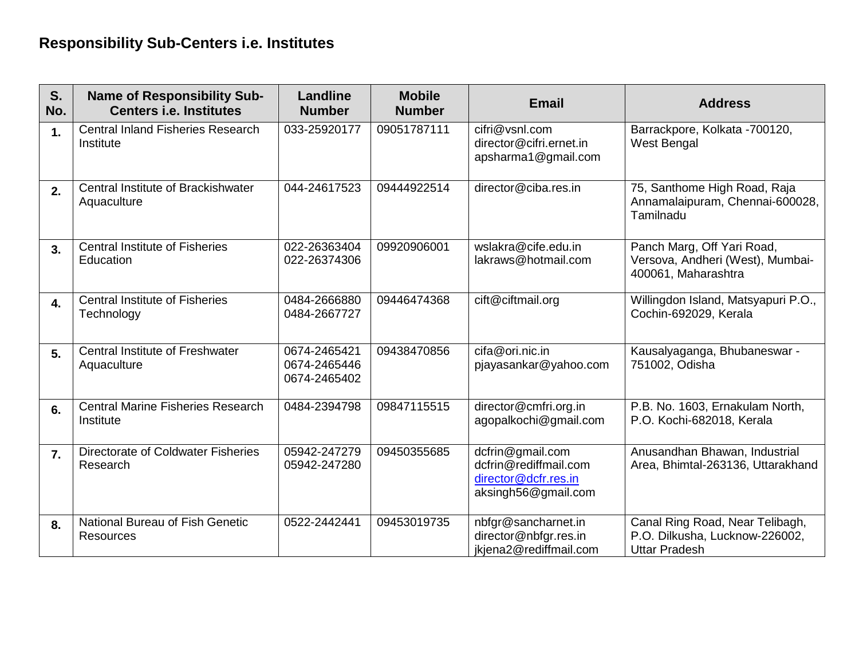# **Responsibility Sub-Centers i.e. Institutes**

| S.<br>No.        | <b>Name of Responsibility Sub-</b><br><b>Centers i.e. Institutes</b> | <b>Landline</b><br><b>Number</b>             | <b>Mobile</b><br><b>Number</b> | <b>Email</b>                                                                             | <b>Address</b>                                                                            |
|------------------|----------------------------------------------------------------------|----------------------------------------------|--------------------------------|------------------------------------------------------------------------------------------|-------------------------------------------------------------------------------------------|
| $\mathbf{1}$     | <b>Central Inland Fisheries Research</b><br>Institute                | 033-25920177                                 | 09051787111                    | cifri@vsnl.com<br>director@cifri.ernet.in<br>apsharma1@gmail.com                         | Barrackpore, Kolkata -700120,<br><b>West Bengal</b>                                       |
| 2.               | Central Institute of Brackishwater<br>Aquaculture                    | 044-24617523                                 | 09444922514                    | director@ciba.res.in                                                                     | 75, Santhome High Road, Raja<br>Annamalaipuram, Chennai-600028,<br>Tamilnadu              |
| 3.               | <b>Central Institute of Fisheries</b><br>Education                   | 022-26363404<br>022-26374306                 | 09920906001                    | wslakra@cife.edu.in<br>lakraws@hotmail.com                                               | Panch Marg, Off Yari Road,<br>Versova, Andheri (West), Mumbai-<br>400061, Maharashtra     |
| $\overline{4}$ . | <b>Central Institute of Fisheries</b><br>Technology                  | 0484-2666880<br>0484-2667727                 | 09446474368                    | cift@ciftmail.org                                                                        | Willingdon Island, Matsyapuri P.O.,<br>Cochin-692029, Kerala                              |
| 5.               | <b>Central Institute of Freshwater</b><br>Aquaculture                | 0674-2465421<br>0674-2465446<br>0674-2465402 | 09438470856                    | cifa@ori.nic.in<br>pjayasankar@yahoo.com                                                 | Kausalyaganga, Bhubaneswar -<br>751002, Odisha                                            |
| 6.               | <b>Central Marine Fisheries Research</b><br>Institute                | 0484-2394798                                 | 09847115515                    | director@cmfri.org.in<br>agopalkochi@gmail.com                                           | P.B. No. 1603, Ernakulam North,<br>P.O. Kochi-682018, Kerala                              |
| $\overline{7}$ . | Directorate of Coldwater Fisheries<br>Research                       | 05942-247279<br>05942-247280                 | 09450355685                    | dcfrin@gmail.com<br>dcfrin@rediffmail.com<br>director@dcfr.res.in<br>aksingh56@gmail.com | Anusandhan Bhawan, Industrial<br>Area, Bhimtal-263136, Uttarakhand                        |
| 8.               | National Bureau of Fish Genetic<br>Resources                         | 0522-2442441                                 | 09453019735                    | nbfgr@sancharnet.in<br>director@nbfgr.res.in<br>jkjena2@rediffmail.com                   | Canal Ring Road, Near Telibagh,<br>P.O. Dilkusha, Lucknow-226002,<br><b>Uttar Pradesh</b> |